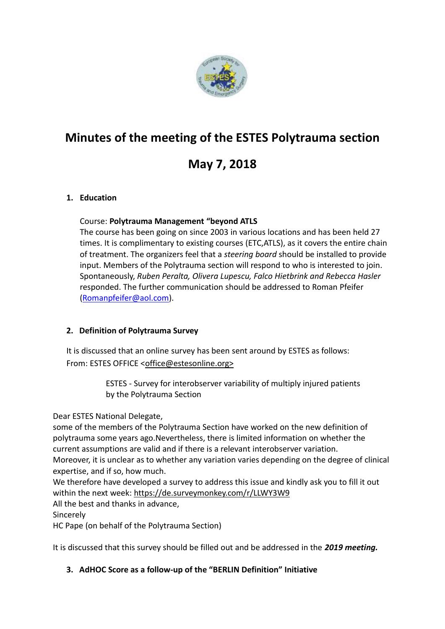

# **Minutes of the meeting of the ESTES Polytrauma section**

# **May 7, 2018**

#### **1. Education**

#### Course: **Polytrauma Management "beyond ATLS**

The course has been going on since 2003 in various locations and has been held 27 times. It is complimentary to existing courses (ETC,ATLS), as it covers the entire chain of treatment. The organizers feel that a *steering board* should be installed to provide input. Members of the Polytrauma section will respond to who is interested to join. Spontaneously, *Ruben Peralta, Olivera Lupescu, Falco Hietbrink and Rebecca Hasler* responded. The further communication should be addressed to Roman Pfeifer [\(Romanpfeifer@aol.com\)](mailto:Romanpfeifer@aol.com).

## **2. Definition of Polytrauma Survey**

It is discussed that an online survey has been sent around by ESTES as follows: From: ESTES OFFICE <office@estesonline.org>

> ESTES - Survey for interobserver variability of multiply injured patients by the Polytrauma Section

#### Dear ESTES National Delegate,

some of the members of the Polytrauma Section have worked on the new definition of polytrauma some years ago.Nevertheless, there is limited information on whether the current assumptions are valid and if there is a relevant interobserver variation. Moreover, it is unclear as to whether any variation varies depending on the degree of clinical expertise, and if so, how much.

We therefore have developed a survey to address this issue and kindly ask you to fill it out within the next week: https://de.surveymonkey.com/r/LLWY3W9

All the best and thanks in advance,

Sincerely

HC Pape (on behalf of the Polytrauma Section)

It is discussed that this survey should be filled out and be addressed in the *2019 meeting.*

## **3. AdHOC Score as a follow-up of the "BERLIN Definition" Initiative**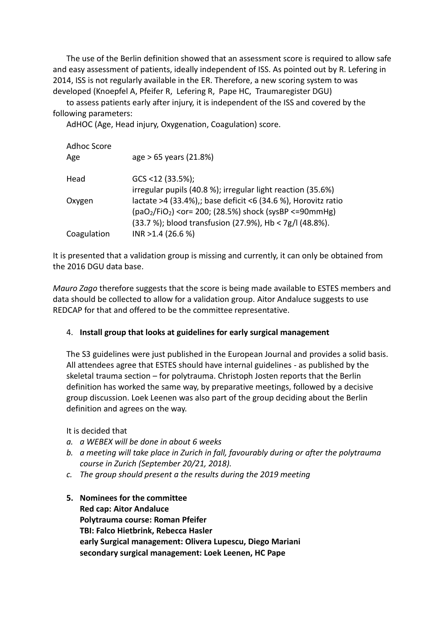The use of the Berlin definition showed that an assessment score is required to allow safe and easy assessment of patients, ideally independent of ISS. As pointed out by R. Lefering in 2014, ISS is not regularly available in the ER. Therefore, a new scoring system to was developed (Knoepfel A, Pfeifer R, Lefering R, Pape HC, Traumaregister DGU)

to assess patients early after injury, it is independent of the ISS and covered by the following parameters:

AdHOC (Age, Head injury, Oxygenation, Coagulation) score.

| <b>Adhoc Score</b> |                                                                                                                                                                                                               |
|--------------------|---------------------------------------------------------------------------------------------------------------------------------------------------------------------------------------------------------------|
| Age                | age > 65 years (21.8%)                                                                                                                                                                                        |
| Head               | $GCS < 12$ (33.5%);<br>irregular pupils (40.8 %); irregular light reaction (35.6%)                                                                                                                            |
| Oxygen             | lactate >4 (33.4%),; base deficit <6 (34.6 %), Horovitz ratio<br>(paO <sub>2</sub> /FiO <sub>2</sub> ) < or = 200; (28.5%) shock (sysBP <= 90mmHg)<br>(33.7 %); blood transfusion (27.9%), Hb < 7g/l (48.8%). |
| Coagulation        | INR >1.4 (26.6 %)                                                                                                                                                                                             |

It is presented that a validation group is missing and currently, it can only be obtained from the 2016 DGU data base.

*Mauro Zago* therefore suggests that the score is being made available to ESTES members and data should be collected to allow for a validation group. Aitor Andaluce suggests to use REDCAP for that and offered to be the committee representative.

#### 4. **Install group that looks at guidelines for early surgical management**

The S3 guidelines were just published in the European Journal and provides a solid basis. All attendees agree that ESTES should have internal guidelines - as published by the skeletal trauma section – for polytrauma. Christoph Josten reports that the Berlin definition has worked the same way, by preparative meetings, followed by a decisive group discussion. Loek Leenen was also part of the group deciding about the Berlin definition and agrees on the way.

It is decided that

- *a. a WEBEX will be done in about 6 weeks*
- *b. a meeting will take place in Zurich in fall, favourably during or after the polytrauma course in Zurich (September 20/21, 2018).*
- *c. The group should present a the results during the 2019 meeting*
- **5. Nominees for the committee Red cap: Aitor Andaluce Polytrauma course: Roman Pfeifer TBI: Falco Hietbrink, Rebecca Hasler early Surgical management: Olivera Lupescu, Diego Mariani secondary surgical management: Loek Leenen, HC Pape**